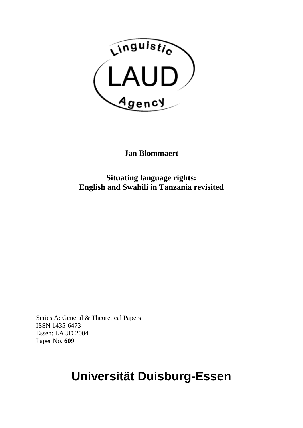

**Jan Blommaert** 

**Situating language rights: English and Swahili in Tanzania revisited** 

Series A: General & Theoretical Papers ISSN 1435-6473 Essen: LAUD 2004 Paper No. **609**

# **Universität Duisburg-Essen**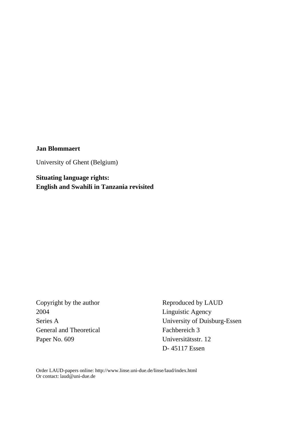#### **Jan Blommaert**

University of Ghent (Belgium)

**Situating language rights: English and Swahili in Tanzania revisited** 

2004 Linguistic Agency General and Theoretical Fachbereich 3 Paper No. 609 Universitätsstr. 12

Copyright by the author Reproduced by LAUD Series A University of Duisburg-Essen D- 45117 Essen

Order LAUD-papers online: http://www.linse.uni-due.de/linse/laud/index.html Or contact: laud@uni-due.de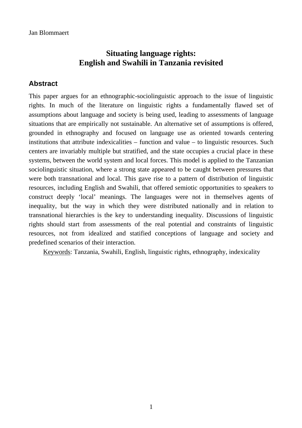# **Situating language rights: English and Swahili in Tanzania revisited**

# **Abstract**

This paper argues for an ethnographic-sociolinguistic approach to the issue of linguistic rights. In much of the literature on linguistic rights a fundamentally flawed set of assumptions about language and society is being used, leading to assessments of language situations that are empirically not sustainable. An alternative set of assumptions is offered, grounded in ethnography and focused on language use as oriented towards centering institutions that attribute indexicalities – function and value – to linguistic resources. Such centers are invariably multiple but stratified, and the state occupies a crucial place in these systems, between the world system and local forces. This model is applied to the Tanzanian sociolinguistic situation, where a strong state appeared to be caught between pressures that were both transnational and local. This gave rise to a pattern of distribution of linguistic resources, including English and Swahili, that offered semiotic opportunities to speakers to construct deeply 'local' meanings. The languages were not in themselves agents of inequality, but the way in which they were distributed nationally and in relation to transnational hierarchies is the key to understanding inequality. Discussions of linguistic rights should start from assessments of the real potential and constraints of linguistic resources, not from idealized and statified conceptions of language and society and predefined scenarios of their interaction.

Keywords: Tanzania, Swahili, English, linguistic rights, ethnography, indexicality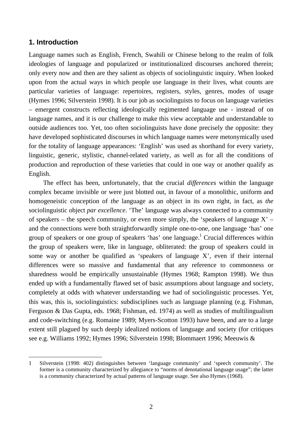## **1. Introduction**

 $\overline{a}$ 

Language names such as English, French, Swahili or Chinese belong to the realm of folk ideologies of language and popularized or institutionalized discourses anchored therein; only every now and then are they salient as objects of sociolinguistic inquiry. When looked upon from the actual ways in which people use language in their lives, what counts are particular varieties of language: repertoires, registers, styles, genres, modes of usage (Hymes 1996; Silverstein 1998). It is our job as sociolinguists to focus on language varieties – emergent constructs reflecting ideologically regimented language use - instead of on language names, and it is our challenge to make this view acceptable and understandable to outside audiences too. Yet, too often sociolinguists have done precisely the opposite: they have developed sophisticated discourses in which language names were metonymically used for the totality of language appearances: 'English' was used as shorthand for every variety, linguistic, generic, stylistic, channel-related variety, as well as for all the conditions of production and reproduction of these varieties that could in one way or another qualify as English.

The effect has been, unfortunately, that the crucial *differences* within the language complex became invisible or were just blotted out, in favour of a monolithic, uniform and homogeneistic conception of *the* language as an object in its own right, in fact, as *the* sociolinguistic object *par excellence*. 'The' language was always connected to a community of speakers – the speech community, or even more simply, the 'speakers of language  $X'$  – and the connections were both straightforwardly simple one-to-one, one language 'has' one group of speakers or one group of speakers 'has' one language. [1](#page-3-0) Crucial differences within the group of speakers were, like in language, obliterated: the group of speakers could in some way or another be qualified as 'speakers of language X', even if their internal differences were so massive and fundamental that any reference to commonness or sharedness would be empirically unsustainable (Hymes 1968; Rampton 1998). We thus ended up with a fundamentally flawed set of basic assumptions about language and society, completely at odds with whatever understanding we had of sociolinguistic processes. Yet, this was, this is, sociolinguistics: subdisciplines such as language planning (e.g. Fishman, Ferguson & Das Gupta, eds. 1968; Fishman, ed. 1974) as well as studies of multilingualism and code-switching (e.g. Romaine 1989; Myers-Scotton 1993) have been, and are to a large extent still plagued by such deeply idealized notions of language and society (for critiques see e.g. Williams 1992; Hymes 1996; Silverstein 1998; Blommaert 1996; Meeuwis &

<span id="page-3-0"></span><sup>1</sup> Silverstein (1998: 402) distinguishes between 'language community' and 'speech community'. The former is a community characterized by allegiance to "norms of denotational language usage"; the latter is a community characterized by actual patterns of language usage. See also Hymes (1968).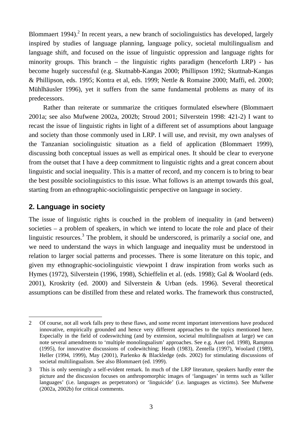Blommaert 1994).<sup>[2](#page-4-0)</sup> In recent years, a new branch of sociolinguistics has developed, largely inspired by studies of language planning, language policy, societal multilingualism and language shift, and focused on the issue of linguistic oppression and language rights for minority groups. This branch – the linguistic rights paradigm (henceforth LRP) - has become hugely successful (e.g. Skutnabb-Kangas 2000; Phillipson 1992; Skuttnab-Kangas & Phillipson, eds. 1995; Kontra et al, eds. 1999; Nettle & Romaine 2000; Maffi, ed. 2000; Mühlhäusler 1996), yet it suffers from the same fundamental problems as many of its predecessors.

Rather than reiterate or summarize the critiques formulated elsewhere (Blommaert 2001a; see also Mufwene 2002a, 2002b; Stroud 2001; Silverstein 1998: 421-2) I want to recast the issue of linguistic rights in light of a different set of assumptions about language and society than those commonly used in LRP. I will use, and revisit, my own analyses of the Tanzanian sociolinguistic situation as a field of application (Blommaert 1999), discussing both conceptual issues as well as empirical ones. It should be clear to everyone from the outset that I have a deep commitment to linguistic rights and a great concern about linguistic and social inequality. This is a matter of record, and my concern is to bring to bear the best possible sociolinguistics to this issue. What follows is an attempt towards this goal, starting from an ethnographic-sociolinguistic perspective on language in society.

# **2. Language in society**

The issue of linguistic rights is couched in the problem of inequality in (and between) societies – a problem of speakers, in which we intend to locate the role and place of their linguistic resources.<sup>[3](#page-4-1)</sup> The problem, it should be underscored, is primarily a *social* one, and we need to understand the ways in which language and inequality must be understood in relation to larger social patterns and processes. There is some literature on this topic, and given my ethnographic-sociolinguistic viewpoint I draw inspiration from works such as Hymes (1972), Silverstein (1996, 1998), Schieffelin et al. (eds. 1998); Gal & Woolard (eds. 2001), Kroskrity (ed. 2000) and Silverstein & Urban (eds. 1996). Several theoretical assumptions can be distilled from these and related works. The framework thus constructed,

<span id="page-4-0"></span> $\overline{a}$ 2 Of course, not all work falls prey to these flaws, and some recent important interventions have produced innovative, empirically grounded and hence very different approaches to the topics mentioned here. Especially in the field of codeswitching (and by extension, societal multilingualism at large) we can note several amendments to 'multiple monolingualism' approaches. See e.g. Auer (ed. 1998), Rampton (1995), for innovative discussions of codewitching; Heath (1983), Zentella (1997), Woolard (1989), Heller (1994, 1999), May (2001), Parlenko & Blackledge (eds. 2002) for stimulating discussions of societal multilingualism. See also Blommaert (ed. 1999).

<span id="page-4-1"></span><sup>3</sup> This is only seemingly a self-evident remark. In much of the LRP literature, speakers hardly enter the picture and the discussion focuses on anthropomorphic images of 'languages' in terms such as 'killer languages' (i.e. languages as perpetrators) or 'linguicide' (i.e. languages as victims). See Mufwene (2002a, 2002b) for critical comments.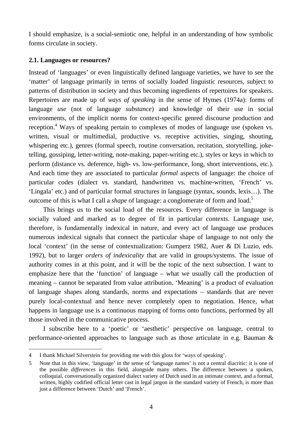I should emphasize, is a social-semiotic one, helpful in an understanding of how symbolic forms circulate in society.

#### **2.1. Languages or resources?**

 $\overline{a}$ 

Instead of 'languages' or even linguistically defined language varieties, we have to see the 'matter' of language primarily in terms of socially loaded linguistic resources, subject to patterns of distribution in society and thus becoming ingredients of repertoires for speakers. Repertoires are made up of *ways of speaking* in the sense of Hymes (1974a): forms of language *use* (not of language *substance*) and knowledge of their use in social environments, of the implicit norms for context-specific genred discourse production and reception.<sup>[4](#page-5-0)</sup> Ways of speaking pertain to complexes of modes of language use (spoken vs. written, visual or multimedial, productive vs. receptive activities, singing, shouting, whispering etc.), genres (formal speech, routine conversation, recitation, storytelling, joketelling, gossiping, letter-writing, note-making, paper-writing etc.), styles or keys in which to perform (distance vs. deference, high- vs. low-performance, long, short interventions, etc.). And each time they are associated to particular *formal* aspects of language: the choice of particular codes (dialect vs. standard, handwritten vs. machine-written, 'French' vs. 'Lingala' etc.) and of particular formal structures in language (syntax, sounds, lexis…). The outcome of this is what I call a *shape* of language: a conglomerate of form and load.[5](#page-5-1)

This brings us to the social load of the resources. Every difference in language is socially valued and marked as to degree of fit in particular contexts. Language use, therefore, is fundamentally indexical in nature, and every act of language use produces numerous indexical signals that connect the particular shape of language to not only the local 'context' (in the sense of contextualization: Gumperz 1982, Auer & Di Luzio, eds. 1992), but to larger *orders of indexicality* that are valid in groups/systems. The issue of authority comes in at this point, and it will be the topic of the next subsection. I want to emphasize here that the 'function' of language – what we usually call the production of meaning – cannot be separated from value attribution. 'Meaning' is a product of evaluation of language shapes along standards, norms and expectations – standards that are never purely local-contextual and hence never completely open to negotiation. Hence, what happens in language use is a continuous mapping of forms onto functions, performed by all those involved in the communicative process.

I subscribe here to a 'poetic' or 'aesthetic' perspective on language, central to performance-oriented approaches to language such as those articulate in e.g. Bauman &

<span id="page-5-0"></span><sup>4</sup> I thank Michael Silverstein for providing me with this gloss for 'ways of speaking'.

<span id="page-5-1"></span><sup>5</sup> Note that in this view, 'language' in the sense of 'language names' is not a central diacritic: it is one of the possible *differences* in this field, alongside many others. The difference between a spoken, colloquial, conversationally organized dialect variety of Dutch used in an intimate context, and a formal, written, highly codified official letter cast in legal jargon in the standard variety of French, is more than just a difference between 'Dutch' and 'French'.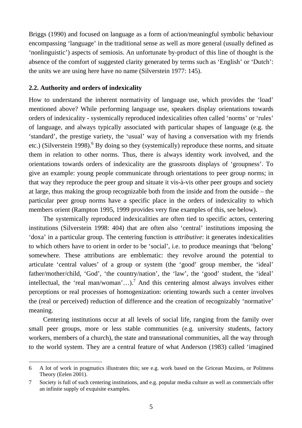Briggs (1990) and focused on language as a form of action/meaningful symbolic behaviour encompassing 'language' in the traditional sense as well as more general (usually defined as 'nonlinguistic') aspects of semiosis. An unfortunate by-product of this line of thought is the absence of the comfort of suggested clarity generated by terms such as 'English' or 'Dutch': the units we are using here have no name (Silverstein 1977: 145).

#### **2.2. Authority and orders of indexicality**

 $\overline{a}$ 

How to understand the inherent normativity of language use, which provides the 'load' mentioned above? While performing language use, speakers display orientations towards orders of indexicality - systemically reproduced indexicalities often called 'norms' or 'rules' of language, and always typically associated with particular shapes of language (e.g. the 'standard', the prestige variety, the 'usual' way of having a conversation with my friends etc.) (Silverstein 1998).<sup>[6](#page-6-0)</sup> By doing so they (systemically) reproduce these norms, and situate them in relation to other norms. Thus, there is always identity work involved, and the orientations towards orders of indexicality are the grassroots displays of 'groupness'. To give an example: young people communicate through orientations to peer group norms; in that way they reproduce the peer group and situate it vis-à-vis other peer groups and society at large, thus making the group recognizable both from the inside and from the outside – the particular peer group norms have a specific place in the orders of indexicality to which members orient (Rampton 1995, 1999 provides very fine examples of this, see below).

The systemically reproduced indexicalities are often tied to specific actors, centering institutions (Silverstein 1998: 404) that are often also 'central' institutions imposing the 'doxa' in a particular group. The centering function is *attributive*: it generates indexicalities to which others have to orient in order to be 'social', i.e. to produce meanings that 'belong' somewhere. These attributions are emblematic: they revolve around the potential to articulate 'central values' of a group or system (the 'good' group member, the 'ideal' father/mother/child, 'God', 'the country/nation', the 'law', the 'good' student, the 'ideal' intellectual, the 'real man/woman'...).<sup>[7](#page-6-1)</sup> And this centering almost always involves either perceptions or real processes of homogenization: orienting towards such a center involves the (real or perceived) reduction of difference and the creation of recognizably 'normative' meaning.

Centering institutions occur at all levels of social life, ranging from the family over small peer groups, more or less stable communities (e.g. university students, factory workers, members of a church), the state and transnational communities, all the way through to the world system. They are a central feature of what Anderson (1983) called 'imagined

<span id="page-6-0"></span><sup>6</sup> A lot of work in pragmatics illustrates this; see e.g. work based on the Gricean Maxims, or Politness Theory (Eelen 2001).

<span id="page-6-1"></span><sup>7</sup> Society is full of such centering institutions, and e.g. popular media culture as well as commercials offer an infinite supply of exquisite examples.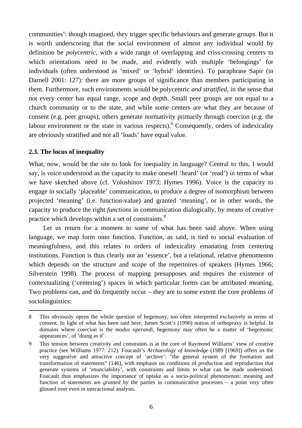communities': though imagined, they trigger specific behaviours and generate groups. But it is worth underscoring that the social environment of almost any individual would by definition be *polycentric*, with a wide range of overlapping and criss-crossing centers to which orientations need to be made, and evidently with multiple 'belongings' for individuals (often understood as 'mixed' or 'hybrid' identities). To paraphrase Sapir (in Darnell 2001: 127): there are more groups of significance than members participating in them. Furthermore, such environments would be polycentric *and stratified*, in the sense that not every center has equal range, scope and depth. Small peer groups are not equal to a church community or to the state, and while some centers are what they are because of consent (e.g. peer groups), others generate normativity primarily through coercion (e.g. the labour environment or the state in various respects). <sup>[8](#page-7-0)</sup> Consequently, orders of indexicality are obviously stratified and not all 'loads' have equal value.

#### **2.3. The locus of inequality**

 $\overline{a}$ 

What, now, would be the site to look for inequality in language? Central to this, I would say, is *voice* understood as the capacity to make oneself 'heard' (or 'read') in terms of what we have sketched above (cf. Voloshinov 1973; Hymes 1996). Voice is the capacity to engage in socially 'placeable' communication, to produce a degree of isomorphism between projected 'meaning' (i.e. function-value) and granted 'meaning', or in other words, the capacity to produce the right *functions* in communication dialogically, by means of creative practice which develops within a set of constraints.<sup>[9](#page-7-1)</sup>

Let us return for a moment to some of what has been said above. When using language, we map form onto function. Function, as said, is tied to social evaluation of meaningfulness, and this relates to orders of indexicality emanating from centering institutions. Function is thus clearly not an 'essence', but a relational, relative phenomenon which depends on the structure and scope of the repertoires of speakers (Hymes 1966; Silverstein 1998). The process of mapping presupposes and requires the existence of contextualizing ('centering') spaces in which particular forms can be attributed meaning. Two problems can, and do frequently occur – they are to some extent the core problems of sociolinguistics:

<span id="page-7-0"></span><sup>8</sup> This obviously opens the whole question of hegemony, too often interpreted exclusively in terms of consent. In light of what has been said here, James Scott's (1990) notion of orthopraxy is helpful. In domains where coercion is the *modus operandi*, hegemony may often be a matter of 'hegemonic appearances', of 'doing as if'.

<span id="page-7-1"></span><sup>9</sup> This tension between creativity and constraints is at the core of Raymond Williams' view of creative practice (see Williams 1977: 212). Foucault's *Archaeology of knowledge* (1989 [1969]) offers us the very suggestive and attractive concept of 'archive': "the general system of the formation and transformation of statements" (146), with emphasis on conditions of production and reproduction that generate systems of 'enunciability', with constraints and limits to what can be made understood. Foucault thus emphasizes the importance of uptake as a socio-political phenomenon: meaning and function of statements are *granted* by the parties in communicative processes – a point very often glossed over even in interactional analysis.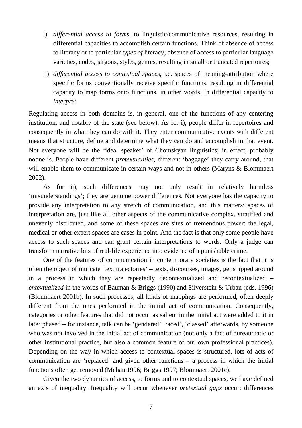- i) *differential access to forms*, to linguistic/communicative resources, resulting in differential capacities to accomplish certain functions. Think of absence of access to literacy or to particular *types of* literacy; absence of access to particular language varieties, codes, jargons, styles, genres, resulting in small or truncated repertoires;
- ii) *differential access to contextual spaces*, i.e. spaces of meaning-attribution where specific forms conventionally receive specific functions, resulting in differential capacity to map forms onto functions, in other words, in differential capacity to *interpret*.

Regulating access in both domains is, in general, one of the functions of any centering institution, and notably of the state (see below). As for i), people differ in repertoires and consequently in what they can do with it. They enter communicative events with different means that structure, define and determine what they can do and accomplish in that event. Not everyone will be the 'ideal speaker' of Chomskyan linguistics; in effect, probably noone is. People have different *pretextualities*, different 'baggage' they carry around, that will enable them to communicate in certain ways and not in others (Maryns & Blommaert 2002).

As for ii), such differences may not only result in relatively harmless 'misunderstandings'; they are genuine power differences. Not everyone has the capacity to provide any interpretation to any stretch of communication, and this matters: spaces of interpretation are, just like all other aspects of the communicative complex, stratified and unevenly distributed, and some of these spaces are sites of tremendous power: the legal, medical or other expert spaces are cases in point. And the fact is that only some people have access to such spaces and can grant certain interpretations to words. Only a judge can transform narrative bits of real-life experience into evidence of a punishable crime.

One of the features of communication in contemporary societies is the fact that it is often the object of intricate 'text trajectories' – texts, discourses, images, get shipped around in a process in which they are repeatedly decontextualized and recontextualized – *entextualized* in the words of Bauman & Briggs (1990) and Silverstein & Urban (eds. 1996) (Blommaert 2001b). In such processes, all kinds of mappings are performed, often deeply different from the ones performed in the initial act of communication. Consequently, categories or other features that did not occur as salient in the initial act were added to it in later phased – for instance, talk can be 'gendered' 'raced', 'classed' afterwards, by someone who was not involved in the initial act of communication (not only a fact of bureaucratic or other institutional practice, but also a common feature of our own professional practices). Depending on the way in which access to contextual spaces is structured, lots of acts of communication are 'replaced' and given other functions – a process in which the initial functions often get removed (Mehan 1996; Briggs 1997; Blommaert 2001c).

Given the two dynamics of access, to forms and to contextual spaces, we have defined an axis of inequality. Inequality will occur whenever *pretextual gaps* occur: differences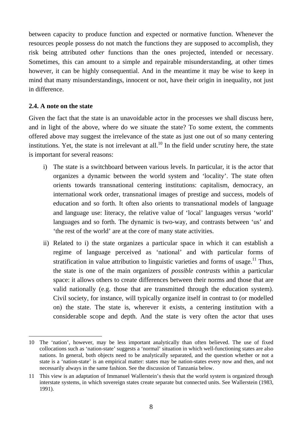between capacity to produce function and expected or normative function. Whenever the resources people possess do not match the functions they are supposed to accomplish, they risk being attributed *other* functions than the ones projected, intended or necessary. Sometimes, this can amount to a simple and repairable misunderstanding, at other times however, it can be highly consequential. And in the meantime it may be wise to keep in mind that many misunderstandings, innocent or not, have their origin in inequality, not just in difference.

## **2.4. A note on the state**

Given the fact that the state is an unavoidable actor in the processes we shall discuss here, and in light of the above, where do we situate the state? To some extent, the comments offered above may suggest the irrelevance of the state as just one out of so many centering institutions. Yet, the state is not irrelevant at all.<sup>10</sup> In the field under scrutiny here, the state is important for several reasons:

- i) The state is a switchboard between various levels. In particular, it is the actor that organizes a dynamic between the world system and 'locality'. The state often orients towards transnational centering institutions: capitalism, democracy, an international work order, transnational images of prestige and success, models of education and so forth. It often also orients to transnational models of language and language use: literacy, the relative value of 'local' languages versus 'world' languages and so forth. The dynamic is two-way, and contrasts between 'us' and 'the rest of the world' are at the core of many state activities.
- ii) Related to i) the state organizes a particular space in which it can establish a regime of language perceived as 'national' and with particular forms of stratification in value attribution to linguistic varieties and forms of usage.<sup>11</sup> Thus, the state is one of the main organizers of *possible contrasts* within a particular space: it allows others to create differences between their norms and those that are valid nationally (e.g. those that are transmitted through the education system). Civil society, for instance, will typically organize itself in contrast to (or modelled on) the state. The state is, wherever it exists, a centering institution with a considerable scope and depth. And the state is very often the actor that uses

<span id="page-9-0"></span> $\overline{a}$ 10 The 'nation', however, may be less important analytically than often believed. The use of fixed collocations such as 'nation-state' suggests a 'normal' situation in which well-functioning states are also nations. In general, both objects need to be analytically separated, and the question whether or not a state is a 'nation-state' is an empirical matter: states may be nation-states every now and then, and not necessarily always in the same fashion. See the discussion of Tanzania below.

<span id="page-9-1"></span><sup>11</sup> This view is an adaptation of Immanuel Wallerstein's thesis that the world system is organized through interstate systems, in which sovereign states create separate but connected units. See Wallerstein (1983, 1991).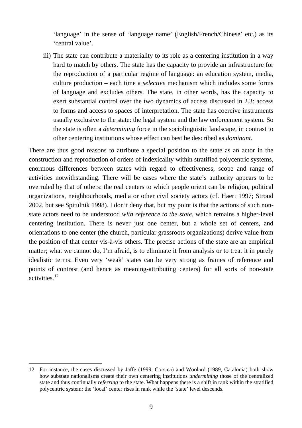'language' in the sense of 'language name' (English/French/Chinese' etc.) as its 'central value'.

iii) The state can contribute a materiality to its role as a centering institution in a way hard to match by others. The state has the capacity to provide an infrastructure for the reproduction of a particular regime of language: an education system, media, culture production – each time a *selective* mechanism which includes some forms of language and excludes others. The state, in other words, has the capacity to exert substantial control over the two dynamics of access discussed in 2.3: access to forms and access to spaces of interpretation. The state has coercive instruments usually exclusive to the state: the legal system and the law enforcement system. So the state is often a *determining* force in the sociolinguistic landscape, in contrast to other centering institutions whose effect can best be described as *dominant*.

There are thus good reasons to attribute a special position to the state as an actor in the construction and reproduction of orders of indexicality within stratified polycentric systems, enormous differences between states with regard to effectiveness, scope and range of activities notwithstanding. There will be cases where the state's authority appears to be overruled by that of others: the real centers to which people orient can be religion, political organizations, neighbourhoods, media or other civil society actors (cf. Haeri 1997; Stroud 2002, but see Spitulnik 1998). I don't deny that, but my point is that the actions of such nonstate actors need to be understood *with reference to the state*, which remains a higher-level centering institution. There is never just one center, but a whole set of centers, and orientations to one center (the church, particular grassroots organizations) derive value from the position of that center vis-à-vis others. The precise actions of the state are an empirical matter; what we cannot do, I'm afraid, is to eliminate it from analysis or to treat it in purely idealistic terms. Even very 'weak' states can be very strong as frames of reference and points of contrast (and hence as meaning-attributing centers) for all sorts of non-state activities.<sup>[12](#page-10-0)</sup>

 $\overline{a}$ 

<span id="page-10-0"></span><sup>12</sup> For instance, the cases discussed by Jaffe (1999, Corsica) and Woolard (1989, Catalonia) both show how substate nationalisms create their own centering institutions *undermining* those of the centralized state and thus continually *referring* to the state. What happens there is a shift in rank within the stratified polycentric system: the 'local' center rises in rank while the 'state' level descends.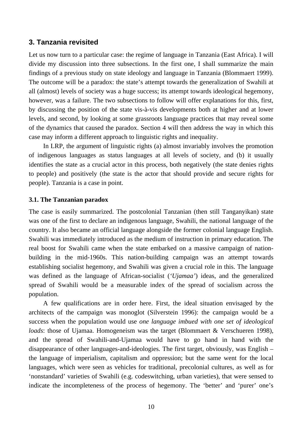#### **3. Tanzania revisited**

Let us now turn to a particular case: the regime of language in Tanzania (East Africa). I will divide my discussion into three subsections. In the first one, I shall summarize the main findings of a previous study on state ideology and language in Tanzania (Blommaert 1999). The outcome will be a paradox: the state's attempt towards the generalization of Swahili at all (almost) levels of society was a huge success; its attempt towards ideological hegemony, however, was a failure. The two subsections to follow will offer explanations for this, first, by discussing the position of the state vis-à-vis developments both at higher and at lower levels, and second, by looking at some grassroots language practices that may reveal some of the dynamics that caused the paradox. Section 4 will then address the way in which this case may inform a different approach to linguistic rights and inequality.

In LRP, the argument of linguistic rights (a) almost invariably involves the promotion of indigenous languages as status languages at all levels of society, and (b) it usually identifies the state as a crucial actor in this process, both negatively (the state denies rights to people) and positively (the state is the actor that should provide and secure rights for people). Tanzania is a case in point.

#### **3.1. The Tanzanian paradox**

The case is easily summarized. The postcolonial Tanzanian (then still Tanganyikan) state was one of the first to declare an indigenous language, Swahili, the national language of the country. It also became an official language alongside the former colonial language English. Swahili was immediately introduced as the medium of instruction in primary education. The real boost for Swahili came when the state embarked on a massive campaign of nationbuilding in the mid-1960s. This nation-building campaign was an attempt towards establishing socialist hegemony, and Swahili was given a crucial role in this. The language was defined as the language of African-socialist (*'Ujamaa'*) ideas, and the generalized spread of Swahili would be a measurable index of the spread of socialism across the population.

A few qualifications are in order here. First, the ideal situation envisaged by the architects of the campaign was monoglot (Silverstein 1996): the campaign would be a success when the population would use *one language imbued with one set of ideological loads*: those of Ujamaa. Homogeneism was the target (Blommaert & Verschueren 1998), and the spread of Swahili-and-Ujamaa would have to go hand in hand with the disappearance of other languages-and-ideologies. The first target, obviously, was English – the language of imperialism, capitalism and oppression; but the same went for the local languages, which were seen as vehicles for traditional, precolonial cultures, as well as for 'nonstandard' varieties of Swahili (e.g. codeswitching, urban varieties), that were sensed to indicate the incompleteness of the process of hegemony. The 'better' and 'purer' one's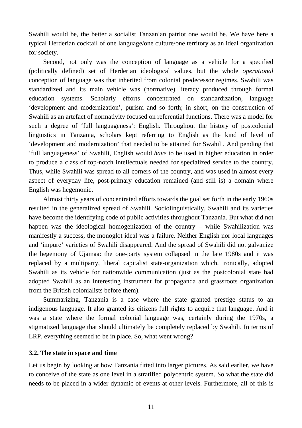Swahili would be, the better a socialist Tanzanian patriot one would be. We have here a typical Herderian cocktail of one language/one culture/one territory as an ideal organization for society.

Second, not only was the conception of language as a vehicle for a specified (politically defined) set of Herderian ideological values, but the whole *operational* conception of language was that inherited from colonial predecessor regimes. Swahili was standardized and its main vehicle was (normative) literacy produced through formal education systems. Scholarly efforts concentrated on standardization, language 'development and modernization', purism and so forth; in short, on the construction of Swahili as an artefact of normativity focused on referential functions. There was a model for such a degree of 'full languageness': English. Throughout the history of postcolonial linguistics in Tanzania, scholars kept referring to English as the kind of level of 'development and modernization' that needed to be attained for Swahili. And pending that 'full languageness' of Swahili, English would *have* to be used in higher education in order to produce a class of top-notch intellectuals needed for specialized service to the country. Thus, while Swahili was spread to all corners of the country, and was used in almost every aspect of everyday life, post-primary education remained (and still is) a domain where English was hegemonic.

Almost thirty years of concentrated efforts towards the goal set forth in the early 1960s resulted in the generalized spread of Swahili. Sociolinguistically, Swahili and its varieties have become the identifying code of public activities throughout Tanzania. But what did not happen was the ideological homogenization of the country – while Swahilization was manifestly a success, the monoglot ideal was a failure. Neither English nor local languages and 'impure' varieties of Swahili disappeared. And the spread of Swahili did not galvanize the hegemony of Ujamaa: the one-party system collapsed in the late 1980s and it was replaced by a multiparty, liberal capitalist state-organization which, ironically, adopted Swahili as its vehicle for nationwide communication (just as the postcolonial state had adopted Swahili as an interesting instrument for propaganda and grassroots organization from the British colonialists before them).

Summarizing, Tanzania is a case where the state granted prestige status to an indigenous language. It also granted its citizens full rights to acquire that language. And it was a state where the formal colonial language was, certainly during the 1970s, a stigmatized language that should ultimately be completely replaced by Swahili. In terms of LRP, everything seemed to be in place. So, what went wrong?

#### **3.2. The state in space and time**

Let us begin by looking at how Tanzania fitted into larger pictures. As said earlier, we have to conceive of the state as one level in a stratified polycentric system. So what the state did needs to be placed in a wider dynamic of events at other levels. Furthermore, all of this is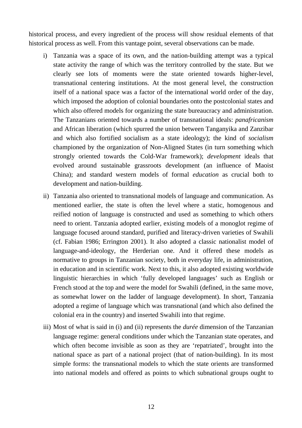historical process, and every ingredient of the process will show residual elements of that historical process as well. From this vantage point, several observations can be made.

- i) Tanzania was a space of its own, and the nation-building attempt was a typical state activity the range of which was the territory controlled by the state. But we clearly see lots of moments were the state oriented towards higher-level, transnational centering institutions. At the most general level, the construction itself of a national space was a factor of the international world order of the day, which imposed the adoption of colonial boundaries onto the postcolonial states and which also offered models for organizing the state bureaucracy and administration. The Tanzanians oriented towards a number of transnational ideals: *panafricanism* and African liberation (which spurred the union between Tanganyika and Zanzibar and which also fortified socialism as a state ideology); the kind of *socialism* championed by the organization of Non-Aligned States (in turn something which strongly oriented towards the Cold-War framework); *development* ideals that evolved around sustainable grassroots development (an influence of Maoist China); and standard western models of formal *education* as crucial both to development and nation-building.
- ii) Tanzania also oriented to transnational models of language and communication. As mentioned earlier, the state is often the level where a static, homogenous and reified notion of language is constructed and used as something to which others need to orient. Tanzania adopted earlier, existing models of a monoglot regime of language focused around standard, purified and literacy-driven varieties of Swahili (cf. Fabian 1986; Errington 2001). It also adopted a classic nationalist model of language-and-ideology, the Herderian one. And it offered these models as normative to groups in Tanzanian society, both in everyday life, in administration, in education and in scientific work. Next to this, it also adopted existing worldwide linguistic hierarchies in which 'fully developed languages' such as English or French stood at the top and were the model for Swahili (defined, in the same move, as somewhat lower on the ladder of language development). In short, Tanzania adopted a regime of language which was transnational (and which also defined the colonial era in the country) and inserted Swahili into that regime.
- iii) Most of what is said in (i) and (ii) represents the *durée* dimension of the Tanzanian language regime: general conditions under which the Tanzanian state operates, and which often become invisible as soon as they are 'repatriated', brought into the national space as part of a national project (that of nation-building). In its most simple forms: the transnational models to which the state orients are transformed into national models and offered as points to which subnational groups ought to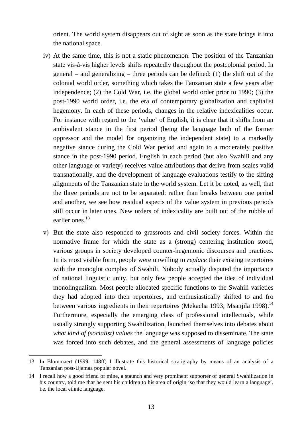orient. The world system disappears out of sight as soon as the state brings it into the national space.

- iv) At the same time, this is not a static phenomenon. The position of the Tanzanian state vis-à-vis higher levels shifts repeatedly throughout the postcolonial period. In general – and generalizing – three periods can be defined: (1) the shift out of the colonial world order, something which takes the Tanzanian state a few years after independence; (2) the Cold War, i.e. the global world order prior to 1990; (3) the post-1990 world order, i.e. the era of contemporary globalization and capitalist hegemony. In each of these periods, changes in the relative indexicalities occur. For instance with regard to the 'value' of English, it is clear that it shifts from an ambivalent stance in the first period (being the language both of the former oppressor and the model for organizing the independent state) to a markedly negative stance during the Cold War period and again to a moderately positive stance in the post-1990 period. English in each period (but also Swahili and any other language or variety) receives value attributions that derive from scales valid transnationally, and the development of language evaluations testify to the sifting alignments of the Tanzanian state in the world system. Let it be noted, as well, that the three periods are not to be separated: rather than breaks between one period and another, we see how residual aspects of the value system in previous periods still occur in later ones. New orders of indexicality are built out of the rubble of earlier ones.[13](#page-14-0)
- v) But the state also responded to grassroots and civil society forces. Within the normative frame for which the state as a (strong) centering institution stood, various groups in society developed counter-hegemonic discourses and practices. In its most visible form, people were unwilling to *replace* their existing repertoires with the monoglot complex of Swahili. Nobody actually disputed the importance of national linguistic unity, but only few people accepted the idea of individual monolingualism. Most people allocated specific functions to the Swahili varieties they had adopted into their repertoires, and enthusiastically shifted to and fro between various ingredients in their repertoires (Mekacha 1993; Msanjila 1998).<sup>[14](#page-14-1)</sup> Furthermore, especially the emerging class of professional intellectuals, while usually strongly supporting Swahilization, launched themselves into debates about *what kind of (socialist) values* the language was supposed to disseminate. The state was forced into such debates, and the general assessments of language policies

 $\overline{a}$ 

<span id="page-14-0"></span><sup>13</sup> In Blommaert (1999: 148ff) I illustrate this historical stratigraphy by means of an analysis of a Tanzanian post-Ujamaa popular novel.

<span id="page-14-1"></span><sup>14</sup> I recall how a good friend of mine, a staunch and very prominent supporter of general Swahilization in his country, told me that he sent his children to his area of origin 'so that they would learn a language', i.e. the local ethnic language.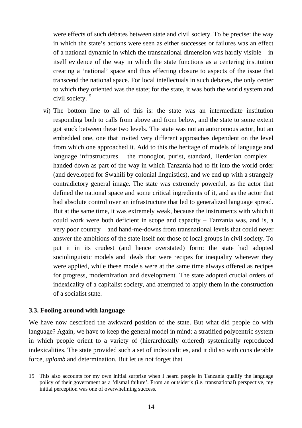were effects of such debates between state and civil society. To be precise: the way in which the state's actions were seen as either successes or failures was an effect of a national dynamic in which the transnational dimension was hardly visible – in itself evidence of the way in which the state functions as a centering institution creating a 'national' space and thus effecting closure to aspects of the issue that transcend the national space. For local intellectuals in such debates, the only center to which they oriented was the state; for the state, it was both the world system and civil society.[15](#page-15-0)

vi) The bottom line to all of this is: the state was an intermediate institution responding both to calls from above and from below, and the state to some extent got stuck between these two levels. The state was not an autonomous actor, but an embedded one, one that invited very different approaches dependent on the level from which one approached it. Add to this the heritage of models of language and language infrastructures – the monoglot, purist, standard, Herderian complex – handed down as part of the way in which Tanzania had to fit into the world order (and developed for Swahili by colonial linguistics), and we end up with a strangely contradictory general image. The state was extremely powerful, as the actor that defined the national space and some critical ingredients of it, and as the actor that had absolute control over an infrastructure that led to generalized language spread. But at the same time, it was extremely weak, because the instruments with which it could work were both deficient in scope and capacity – Tanzania was, and is, a very poor country – and hand-me-downs from transnational levels that could never answer the ambitions of the state itself nor those of local groups in civil society. To put it in its crudest (and hence overstated) form: the state had adopted sociolinguistic models and ideals that were recipes for inequality wherever they were applied, while these models were at the same time always offered as recipes for progress, modernization and development. The state adopted crucial orders of indexicality of a capitalist society, and attempted to apply them in the construction of a socialist state.

#### **3.3. Fooling around with language**

We have now described the awkward position of the state. But what did people do with language? Again, we have to keep the general model in mind: a stratified polycentric system in which people orient to a variety of (hierarchically ordered) systemically reproduced indexicalities. The state provided such a set of indexicalities, and it did so with considerable force, *aplomb* and determination. But let us not forget that

<span id="page-15-0"></span> $\overline{a}$ 15 This also accounts for my own initial surprise when I heard people in Tanzania qualify the language policy of their government as a 'dismal failure'. From an outsider's (i.e. transnational) perspective, my initial perception was one of overwhelming success.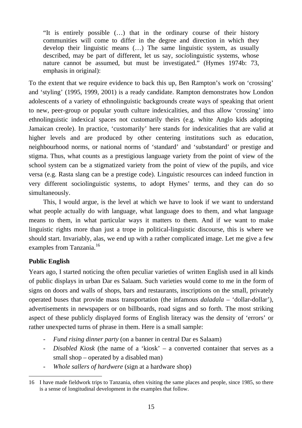"It is entirely possible (…) that in the ordinary course of their history communities will come to differ in the degree and direction in which they develop their linguistic means (…) The same linguistic system, as usually described, may be part of different, let us say, *socio*linguistic systems, whose nature cannot be assumed, but must be investigated." (Hymes 1974b: 73, emphasis in original):

To the extent that we require evidence to back this up, Ben Rampton's work on 'crossing' and 'styling' (1995, 1999, 2001) is a ready candidate. Rampton demonstrates how London adolescents of a variety of ethnolinguistic backgrounds create ways of speaking that orient to new, peer-group or popular youth culture indexicalities, and thus allow 'crossing' into ethnolinguistic indexical spaces not customarily theirs (e.g. white Anglo kids adopting Jamaican creole). In practice, 'customarily' here stands for indexicalities that are valid at higher levels and are produced by other centering institutions such as education, neighbourhood norms, or national norms of 'standard' and 'substandard' or prestige and stigma. Thus, what counts as a prestigious language variety from the point of view of the school system can be a stigmatized variety from the point of view of the pupils, and vice versa (e.g. Rasta slang can be a prestige code). Linguistic resources can indeed function in very different sociolinguistic systems, to adopt Hymes' terms, and they can do so simultaneously.

This, I would argue, is the level at which we have to look if we want to understand what people actually do with language, what language does to them, and what language means to them, in what particular ways it matters to them. And if we want to make linguistic rights more than just a trope in political-linguistic discourse, this is where we should start. Invariably, alas, we end up with a rather complicated image. Let me give a few examples from Tanzania.<sup>16</sup>

# **Public English**

Years ago, I started noticing the often peculiar varieties of written English used in all kinds of public displays in urban Dar es Salaam. Such varieties would come to me in the form of signs on doors and walls of shops, bars and restaurants, inscriptions on the small, privately operated buses that provide mass transportation (the infamous *daladala* – 'dollar-dollar'), advertisements in newspapers or on billboards, road signs and so forth. The most striking aspect of these publicly displayed forms of English literacy was the density of 'errors' or rather unexpected turns of phrase in them. Here is a small sample:

- *Fund rising dinner party* (on a banner in central Dar es Salaam)
- *Disabled Kiosk* (the name of a 'kiosk' a converted container that serves as a small shop – operated by a disabled man)
- *Whole sallers of hardwere* (sign at a hardware shop)

<span id="page-16-0"></span> $\overline{a}$ 16 I have made fieldwork trips to Tanzania, often visiting the same places and people, since 1985, so there is a sense of longitudinal development in the examples that follow.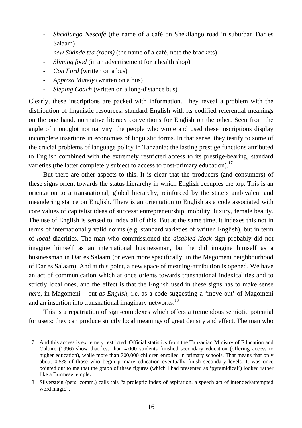- *Shekilango Nescafé* (the name of a café on Shekilango road in suburban Dar es Salaam)
- new Sikinde tea (room) (the name of a café, note the brackets)
- *Sliming food* (in an advertisement for a health shop)
- *Con Ford* (written on a bus)

 $\overline{a}$ 

- *Approxi Mately* (written on a bus)
- *Sleping Coach* (written on a long-distance bus)

Clearly, these inscriptions are packed with information. They reveal a problem with the distribution of linguistic resources: standard English with its codified referential meanings on the one hand, normative literacy conventions for English on the other. Seen from the angle of monoglot normativity, the people who wrote and used these inscriptions display incomplete insertions in economies of linguistic forms. In that sense, they testify to some of the crucial problems of language policy in Tanzania: the lasting prestige functions attributed to English combined with the extremely restricted access to its prestige-bearing, standard varieties (the latter completely subject to access to post-primary education).<sup>[17](#page-17-0)</sup>

But there are other aspects to this. It is clear that the producers (and consumers) of these signs orient towards the status hierarchy in which English occupies the top. This is an orientation to a transnational, global hierarchy, reinforced by the state's ambivalent and meandering stance on English. There is an orientation to English as a code associated with core values of capitalist ideas of success: entrepreneurship, mobility, luxury, female beauty. The use of English is sensed to index all of this. But at the same time, it indexes this not in terms of internationally valid norms (e.g. standard varieties of written English), but in term of *local* diacritics. The man who commissioned the *disabled kiosk* sign probably did not imagine himself as an international businessman, but he did imagine himself as a businessman in Dar es Salaam (or even more specifically, in the Magomeni neighbourhood of Dar es Salaam). And at this point, a new space of meaning-attribution is opened. We have an act of communication which at once orients towards transnational indexicalities and to strictly local ones, and the effect is that the English used in these signs has to make sense *here*, in Magomeni – but *as English*, i.e. as a code suggesting a 'move out' of Magomeni and an insertion into transnational imaginary networks.<sup>18</sup>

This is a repatriation of sign-complexes which offers a tremendous semiotic potential for users: they can produce strictly local meanings of great density and effect. The man who

<span id="page-17-0"></span><sup>17</sup> And this access is extremely restricted. Official statistics from the Tanzanian Ministry of Education and Culture (1996) show that less than 4,000 students finished secondary education (offering access to higher education), while more than 700,000 children enrolled in primary schools. That means that only about 0,5% of those who begin primary education eventually finish secondary levels. It was once pointed out to me that the graph of these figures (which I had presented as 'pyramidical') looked rather like a Burmese temple.

<span id="page-17-1"></span><sup>18</sup> Silverstein (pers. comm.) calls this "a proleptic index of aspiration, a speech act of intended/attempted word magic".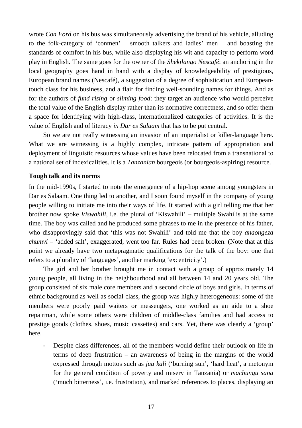wrote *Con Ford* on his bus was simultaneously advertising the brand of his vehicle, alluding to the folk-category of 'conmen' – smooth talkers and ladies' men – and boasting the standards of comfort in his bus, while also displaying his wit and capacity to perform word play in English. The same goes for the owner of the *Shekilango Nescafé*: an anchoring in the local geography goes hand in hand with a display of knowledgeability of prestigious, European brand names (Nescafé), a suggestion of a degree of sophistication and Europeantouch class for his business, and a flair for finding well-sounding names for things. And as for the authors of *fund rising* or *sliming food*: they target an audience who would perceive the total value of the English display rather than its normative correctness, and so offer them a space for identifying with high-class, internationalized categories of activities. It is the value of English and of literacy *in Dar es Salaam* that has to be put central.

So we are not really witnessing an invasion of an imperialist or killer-language here. What we are witnessing is a highly complex, intricate pattern of appropriation and deployment of linguistic resources whose values have been relocated from a transnational to a national set of indexicalities. It is a *Tanzanian* bourgeois (or bourgeois-aspiring) resource.

#### **Tough talk and its norms**

In the mid-1990s, I started to note the emergence of a hip-hop scene among youngsters in Dar es Salaam. One thing led to another, and I soon found myself in the company of young people willing to initiate me into their ways of life. It started with a girl telling me that her brother now spoke *Viswahili*, i.e. the plural of 'Kiswahili' – multiple Swahilis at the same time. The boy was called and he produced some phrases to me in the presence of his father, who disapprovingly said that 'this was not Swahili' and told me that the boy *anaongeza chumvi* – 'added salt', exaggerated, went too far. Rules had been broken. (Note that at this point we already have two metapragmatic qualifications for the talk of the boy: one that refers to a plurality of 'languages', another marking 'excentricity'.)

The girl and her brother brought me in contact with a group of approximately 14 young people, all living in the neighbourhood and all between 14 and 20 years old. The group consisted of six male core members and a second circle of boys and girls. In terms of ethnic background as well as social class, the group was highly heterogeneous: some of the members were poorly paid waiters or messengers, one worked as an aide to a shoe repairman, while some others were children of middle-class families and had access to prestige goods (clothes, shoes, music cassettes) and cars. Yet, there was clearly a 'group' here.

Despite class differences, all of the members would define their outlook on life in terms of deep frustration – an awareness of being in the margins of the world expressed through mottos such as *jua kali* ('burning sun', 'hard heat', a metonym for the general condition of poverty and misery in Tanzania) or *machungu sana* ('much bitterness', i.e. frustration), and marked references to places, displaying an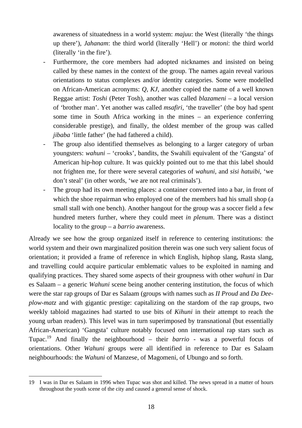awareness of situatedness in a world system: *majuu*: the West (literally 'the things up there'), *Jahanam*: the third world (literally 'Hell') or *motoni*: the third world (literally 'in the fire').

- Furthermore, the core members had adopted nicknames and insisted on being called by these names in the context of the group. The names again reveal various orientations to status complexes and/or identity categories. Some were modelled on African-American acronyms: *Q*, *KJ*, another copied the name of a well known Reggae artist: *Toshi* (Peter Tosh), another was called *blazameni* – a local version of 'brother man'. Yet another was called *msafiri*, 'the traveller' (the boy had spent some time in South Africa working in the mines – an experience conferring considerable prestige), and finally, the oldest member of the group was called *jibaba* 'little father' (he had fathered a child).
- The group also identified themselves as belonging to a larger category of urban youngsters: *wahuni* – 'crooks', bandits, the Swahili equivalent of the 'Gangsta' of American hip-hop culture. It was quickly pointed out to me that this label should not frighten me, for there were several categories of *wahuni*, and *sisi hatuibi*, 'we don't steal' (in other words, 'we are not real criminals').
- The group had its own meeting places: a container converted into a bar, in front of which the shoe repairman who employed one of the members had his small shop (a small stall with one bench). Another hangout for the group was a soccer field a few hundred meters further, where they could meet *in plenum*. There was a distinct locality to the group – a *barrio* awareness.

Already we see how the group organized itself in reference to centering institutions: the world system and their own marginalized position therein was one such very salient focus of orientation; it provided a frame of reference in which English, hiphop slang, Rasta slang, and travelling could acquire particular emblematic values to be exploited in naming and qualifying practices. They shared some aspects of their groupness with other *wahuni* in Dar es Salaam – a generic *Wahuni* scene being another centering institution, the focus of which were the star rap groups of Dar es Salaam (groups with names such as *II Proud* and *Da Deeplow-matz* and with gigantic prestige: capitalizing on the stardom of the rap groups, two weekly tabloid magazines had started to use bits of *Kihuni* in their attempt to reach the young urban readers). This level was in turn superimposed by transnational (but essentially African-American) 'Gangsta' culture notably focused onn international rap stars such as Tupac.[19](#page-19-0) And finally the neighbourhood – their *barrio* - was a powerful focus of orientations. Other *Wahuni* groups were all identified in reference to Dar es Salaam neighbourhoods: the *Wahuni* of Manzese, of Magomeni, of Ubungo and so forth.

 $\overline{a}$ 

<span id="page-19-0"></span><sup>19</sup> I was in Dar es Salaam in 1996 when Tupac was shot and killed. The news spread in a matter of hours throughout the youth scene of the city and caused a general sense of shock.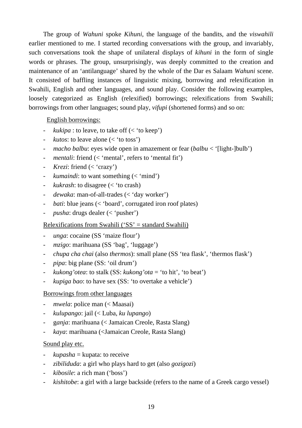The group of *Wahuni* spoke *Kihuni*, the language of the bandits, and the *viswahili* earlier mentioned to me. I started recording conversations with the group, and invariably, such conversations took the shape of unilateral displays of *kihuni* in the form of single words or phrases. The group, unsurprisingly, was deeply committed to the creation and maintenance of an 'antilanguage' shared by the whole of the Dar es Salaam *Wahuni* scene. It consisted of baffling instances of linguistic mixing, borrowing and relexification in Swahili, English and other languages, and sound play. Consider the following examples, loosely categorized as English (relexified) borrowings; relexifications from Swahili; borrowings from other languages; sound play, *vifupi* (shortened forms) and so on:

# English borrowings:

- *kukipa* : to leave, to take off (< 'to keep')
- *kutos*: to leave alone (< 'to toss')
- *macho balbu*: eyes wide open in amazement or fear (*balbu* < '[light-]bulb')
- *mentali*: friend (< 'mental', refers to 'mental fit')
- *Krezi*: friend (< 'crazy')
- *kumaindi*: to want something (< 'mind')
- *kukrash*: to disagree (< 'to crash)
- *dewaka*: man-of-all-trades (< 'day worker')
- *bati*: blue jeans (< 'board', corrugated iron roof plates)
- *pusha*: drugs dealer (< 'pusher')

# Relexifications from Swahili ( $SS' = standard Swahili$ )

- *unga*: cocaine (SS 'maize flour')
- *mzigo*: marihuana (SS 'bag', 'luggage')
- *chupa cha chai* (also *thermos*): small plane (SS 'tea flask', 'thermos flask')
- *pipa*: big plane (SS: 'oil drum')
- *kukong'otea*: to stalk (SS: *kukong'ota* = 'to hit', 'to beat')
- *kupiga bao*: to have sex (SS: 'to overtake a vehicle')

#### Borrowings from other languages

- *mwela*: police man (< Maasai)
- *kulupango*: jail (< Luba, *ku lupango*)
- g*anja*: marihuana (< Jamaican Creole, Rasta Slang)
- *kaya*: marihuana (<Jamaican Creole, Rasta Slang)

#### Sound play etc.

- *kupasha* = kupata: to receive
- *zibiliduda*: a girl who plays hard to get (also *gozigozi*)
- *kibosile*: a rich man ('boss')
- *kishitobe*: a girl with a large backside (refers to the name of a Greek cargo vessel)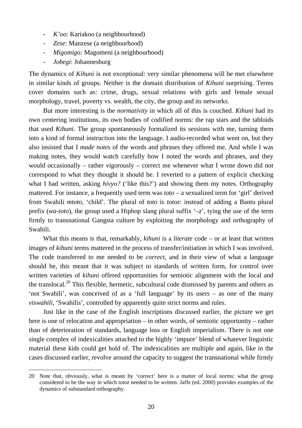- *K'oo*: Kariakoo (a neighbourhood)
- *Zese*: Manzese (a neighbourhood)
- *Migomigo:* Magomeni (a neighbourhood)
- *Jobegi*: Johannesburg

 $\overline{a}$ 

The dynamics of *Kihuni* is not exceptional: very similar phenomena will be met elsewhere in similar kinds of groups. Neither is the domain distribution of *Kihuni* surprising. Terms cover domains such as: crime, drugs, sexual relations with girls and female sexual morphology, travel, poverty vs. wealth, the city, the group and its networks.

But more interesting is the *normativity* in which all of this is couched. *Kihuni* had its own centering institutions, its own bodies of codified norms: the rap stars and the tabloids that used *Kihuni*. The group spontaneously formalized its sessions with me, turning them into a kind of formal instruction into the language. I audio-recorded what went on, but they also insisted that I *made notes* of the words and phrases they offered me. And while I was making notes, they would watch carefully how I noted the words and phrases, and they would occasionally – rather vigorously – correct me whenever what I wrote down did not correspond to what they thought it should be. I reverted to a pattern of explicit checking what I had written, asking *hivyo?* ('like this?') and showing them my notes. Orthography mattered. For instance, a frequently used term was *toto* – a sexualized term for 'girl' derived from Swahili *mtoto*, 'child'. The plural of *toto* is *totoz*: instead of adding a Bantu plural prefix (*wa-toto*), the group used a Hiphop slang plural suffix '*–z*', tying the use of the term firmly to transnational Gangsta culture by exploiting the morphology and orthography of Swahili.

What this means is that, remarkably, *kihuni* is a *literate* code – or at least that written images of *kihuni* terms mattered in the process of transfer/initiation in which I was involved. The code transferred to me needed to be *correct*, and in their view of what a language should be, this meant that it was subject to standards of written form, for control over written varieties of *kihuni* offered opportunities for semiotic alignment with the local and the translocal.<sup>20</sup> This flexible, hermetic, subcultural code dismissed by parents and others as 'not Swahili', was conceived of as a 'full language' by its users – as one of the many *viswahili*, 'Swahilis', controlled by apparently quite strict norms and rules.

Just like in the case of the English inscriptions discussed earlier, the picture we get here is one of relocation and appropriation – in other words, of semiotic opportunity – rather than of deterioration of standards, language loss or English imperialism. There is not one single complex of indexicalities attached to the highly 'impure' blend of whatever linguistic material these kids could get hold of. The indexicalities are multiple and again, like in the cases discussed earlier, revolve around the capacity to suggest the transnational while firmly

<span id="page-21-0"></span><sup>20</sup> Note that, obviously, what is meant by 'correct' here is a matter of local norms: what the group considered to be the way in which *totoz* needed to be written. Jaffe (ed. 2000) provides examples of the dynamics of substandard orthography.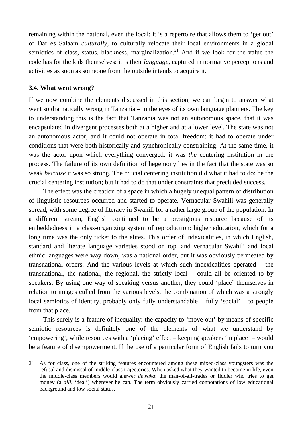remaining within the national, even the local: it is a repertoire that allows them to 'get out' of Dar es Salaam *culturally*, to culturally relocate their local environments in a global semiotics of class, status, blackness, marginalization.<sup>21</sup> And if we look for the value the code has for the kids themselves: it is their *language*, captured in normative perceptions and activities as soon as someone from the outside intends to acquire it.

#### **3.4. What went wrong?**

 $\overline{a}$ 

If we now combine the elements discussed in this section, we can begin to answer what went so dramatically wrong in Tanzania – in the eyes of its own language planners. The key to understanding this is the fact that Tanzania was not an autonomous space, that it was encapsulated in divergent processes both at a higher and at a lower level. The state was not an autonomous actor, and it could not operate in total freedom: it had to operate under conditions that were both historically and synchronically constraining. At the same time, it was the actor upon which everything converged: it was *the* centering institution in the process. The failure of its own definition of hegemony lies in the fact that the state was so weak *because* it was so strong. The crucial centering institution did what it had to do: be the crucial centering institution; but it had to do that under constraints that precluded success.

The effect was the creation of a space in which a hugely unequal pattern of distribution of linguistic resources occurred and started to operate. Vernacular Swahili was generally spread, with some degree of literacy in Swahili for a rather large group of the population. In a different stream, English continued to be a prestigious resource because of its embeddedness in a class-organizing system of reproduction: higher education, which for a long time was the only ticket to the elites. This order of indexicalities, in which English, standard and literate language varieties stood on top, and vernacular Swahili and local ethnic languages were way down, was a national order, but it was obviously permeated by transnational orders. And the various levels at which such indexicalities operated – the transnational, the national, the regional, the strictly local – could all be oriented to by speakers. By using one way of speaking versus another, they could 'place' themselves in relation to images culled from the various levels, the combination of which was a strongly local semiotics of identity, probably only fully understandable – fully 'social' – to people from that place.

This surely is a feature of inequality: the capacity to 'move out' by means of specific semiotic resources is definitely one of the elements of what we understand by 'empowering', while resources with a 'placing' effect – keeping speakers 'in place' – would be a feature of disempowerment. If the use of a particular form of English fails to turn you

<span id="page-22-0"></span><sup>21</sup> As for class, one of the striking features encountered among these mixed-class youngsters was the refusal and dismissal of middle-class trajectories. When asked what they wanted to become in life, even the middle-class members would answer *dewaka*: the man-of-all-trades or fiddler who tries to get money (a *dili*, 'deal') wherever he can. The term obviously carried connotations of low educational background and low social status.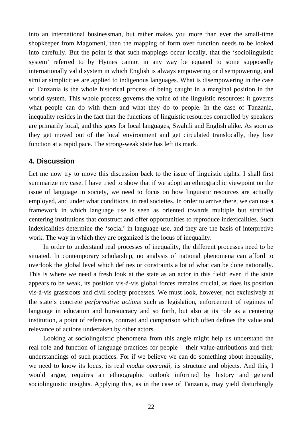into an international businessman, but rather makes you more than ever the small-time shopkeeper from Magomeni, then the mapping of form over function needs to be looked into carefully. But the point is that such mappings occur locally, that the 'sociolinguistic system' referred to by Hymes cannot in any way be equated to some supposedly internationally valid system in which English is always empowering or disempowering, and similar simplicities are applied to indigenous languages. What is disempowering in the case of Tanzania is the whole historical process of being caught in a marginal position in the world system. This whole process governs the value of the linguistic resources: it governs what people can do with them and what they do to people. In the case of Tanzania, inequality resides in the fact that the functions of linguistic resources controlled by speakers are primarily local, and this goes for local languages, Swahili and English alike. As soon as they get moved out of the local environment and get circulated translocally, they lose function at a rapid pace. The strong-weak state has left its mark.

#### **4. Discussion**

Let me now try to move this discussion back to the issue of linguistic rights. I shall first summarize my case. I have tried to show that if we adopt an ethnographic viewpoint on the issue of language in society, we need to focus on how linguistic resources are actually employed, and under what conditions, in real societies. In order to arrive there, we can use a framework in which language use is seen as oriented towards multiple but stratified centering institutions that construct and offer opportunities to reproduce indexicalities. Such indexicalities determine the 'social' in language use, and they are the basis of interpretive work. The way in which they are organized is the locus of inequality.

In order to understand real processes of inequality, the different processes need to be situated. In contemporary scholarship, no analysis of national phenomena can afford to overlook the global level which defines or constraints a lot of what can be done nationally. This is where we need a fresh look at the state as an actor in this field: even if the state appears to be weak, its position vis-à-vis global forces remains crucial, as does its position vis-à-vis grassroots and civil society processes. We must look, however, not exclusively at the state's concrete *performative actions* such as legislation, enforcement of regimes of language in education and bureaucracy and so forth, but also at its role as a centering institution, a point of reference, contrast and comparison which often defines the value and relevance of actions undertaken by other actors.

Looking at sociolinguistic phenomena from this angle might help us understand the real role and function of language practices for people – their value-attributions and their understandings of such practices. For if we believe we can do something about inequality, we need to know its locus, its real *modus operandi*, its structure and objects. And this, I would argue, requires an ethnographic outlook informed by history and general sociolinguistic insights. Applying this, as in the case of Tanzania, may yield disturbingly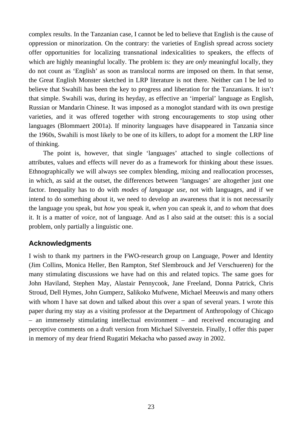complex results. In the Tanzanian case, I cannot be led to believe that English is the cause of oppression or minorization. On the contrary: the varieties of English spread across society offer opportunities for localizing transnational indexicalities to speakers, the effects of which are highly meaningful locally. The problem is: they are *only* meaningful locally, they do not count as 'English' as soon as translocal norms are imposed on them. In that sense, the Great English Monster sketched in LRP literature is not there. Neither can I be led to believe that Swahili has been the key to progress and liberation for the Tanzanians. It isn't that simple. Swahili was, during its heyday, as effective an 'imperial' language as English, Russian or Mandarin Chinese. It was imposed as a monoglot standard with its own prestige varieties, and it was offered together with strong encouragements to stop using other languages (Blommaert 2001a). If minority languages have disappeared in Tanzania since the 1960s, Swahili is most likely to be one of its killers, to adopt for a moment the LRP line of thinking.

The point is, however, that single 'languages' attached to single collections of attributes, values and effects will never do as a framework for thinking about these issues. Ethnographically we will always see complex blending, mixing and reallocation processes, in which, as said at the outset, the differences between 'languages' are altogether just one factor. Inequality has to do with *modes of language use*, not with languages, and if we intend to do something about it, we need to develop an awareness that it is not necessarily the language you speak, but *how* you speak it, *when* you can speak it, and *to whom* that does it. It is a matter of *voice*, not of language. And as I also said at the outset: this is a social problem, only partially a linguistic one.

# **Acknowledgments**

I wish to thank my partners in the FWO-research group on Language, Power and Identity (Jim Collins, Monica Heller, Ben Rampton, Stef Slembrouck and Jef Verschueren) for the many stimulating discussions we have had on this and related topics. The same goes for John Haviland, Stephen May, Alastair Pennycook, Jane Freeland, Donna Patrick, Chris Stroud, Dell Hymes, John Gumperz, Salikoko Mufwene, Michael Meeuwis and many others with whom I have sat down and talked about this over a span of several years. I wrote this paper during my stay as a visiting professor at the Department of Anthropology of Chicago – an immensely stimulating intellectual environment – and received encouraging and perceptive comments on a draft version from Michael Silverstein. Finally, I offer this paper in memory of my dear friend Rugatiri Mekacha who passed away in 2002.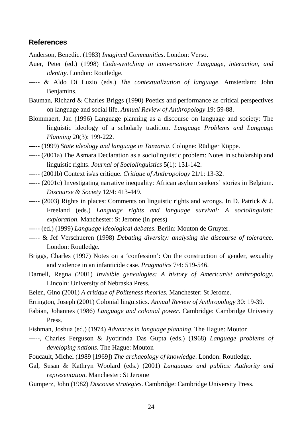## **References**

Anderson, Benedict (1983) *Imagined Communities*. London: Verso.

- Auer, Peter (ed.) (1998) *Code-switching in conversation: Language, interaction, and identity*. London: Routledge.
- ----- & Aldo Di Luzio (eds.) *The contextualization of language*. Amsterdam: John Benjamins.
- Bauman, Richard & Charles Briggs (1990) Poetics and performance as critical perspectives on language and social life. *Annual Review of Anthropology* 19: 59-88.
- Blommaert, Jan (1996) Language planning as a discourse on language and society: The linguistic ideology of a scholarly tradition. *Language Problems and Language Planning* 20(3): 199-222.
- ----- (1999) *State ideology and language in Tanzania*. Cologne: Rüdiger Köppe.
- ----- (2001a) The Asmara Declaration as a sociolinguistic problem: Notes in scholarship and linguistic rights. *Journal of Sociolinguistics* 5(1): 131-142.
- ----- (2001b) Context is/as critique. *Critique of Anthropology* 21/1: 13-32.
- ----- (2001c) Investigating narrative inequality: African asylum seekers' stories in Belgium. *Discourse & Society* 12/4: 413-449.
- ----- (2003) Rights in places: Comments on linguistic rights and wrongs. In D. Patrick & J. Freeland (eds.) *Language rights and language survival: A sociolinguistic exploration*. Manchester: St Jerome (in press)
- ----- (ed.) (1999) *Language ideological debates*. Berlin: Mouton de Gruyter.
- ----- & Jef Verschueren (1998) *Debating diversity: analysing the discourse of tolerance*. London: Routledge.
- Briggs, Charles (1997) Notes on a 'confession': On the construction of gender, sexuality and violence in an infanticide case. *Pragmatics* 7/4: 519-546.
- Darnell, Regna (2001) *Invisible genealogies: A history of Americanist anthropology*. Lincoln: University of Nebraska Press.
- Eelen, Gino (2001) *A critique of Politeness theories.* Manchester: St Jerome.
- Errington, Joseph (2001) Colonial linguistics. *Annual Review of Anthropology* 30: 19-39.
- Fabian, Johannes (1986) *Language and colonial power*. Cambridge: Cambridge Univesity Press.
- Fishman, Joshua (ed.) (1974) *Advances in language planning*. The Hague: Mouton
- -----, Charles Ferguson & Jyotirinda Das Gupta (eds.) (1968) *Language problems of developing nations*. The Hague: Mouton
- Foucault, Michel (1989 [1969]) *The archaeology of knowledge*. London: Routledge.
- Gal, Susan & Kathryn Woolard (eds.) (2001) *Languages and publics: Authority and representation*. Manchester: St Jerome
- Gumperz, John (1982) *Discouse strategies*. Cambridge: Cambridge University Press.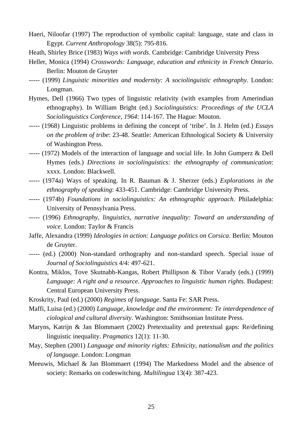- Haeri, Niloofar (1997) The reproduction of symbolic capital: language, state and class in Egypt. *Current Anthropology* 38(5): 795-816.
- Heath, Shirley Brice (1983) *Ways with words*. Cambridge: Cambridge University Press
- Heller, Monica (1994) *Crosswords: Language, education and ethnicity in French Ontario*. Berlin: Mouton de Gruyter
- ----- (1999) *Linguistic minorities and modernity: A sociolinguistic ethnography*. London: Longman.
- Hymes, Dell (1966) Two types of linguistic relativity (with examples from Amerindian ethnography). In William Bright (ed.) *Sociolinguistics: Proceedings of the UCLA Sociolinguistics Conference, 1964*: 114-167. The Hague: Mouton.
- ----- (1968) Linguistic problems in defining the concept of 'tribe'. In J. Helm (ed.) *Essays on the problem of tribe*: 23-48. Seattle: American Ethnological Society & University of Washington Press.
- ----- (1972) Models of the interaction of language and social life. In John Gumperz & Dell Hymes (eds.) *Directions in sociolinguistics: the ethnography of communication*: xxxx. London: Blackwell.
- ----- (1974a) Ways of speaking. In R. Bauman & J. Sherzer (eds.) *Explorations in the ethnography of speaking*: 433-451. Cambridge: Cambridge University Press.
- ----- (1974b) *Foundations in sociolinguistics: An ethnographic approach*. Philadelphia: University of Pennsylvania Press.
- ----- (1996) *Ethnography, linguistics, narrative inequality: Toward an understanding of voice*. London: Taylor & Francis
- Jaffe, Alexandra (1999) *Ideologies in action: Language politics on Corsica*. Berlin: Mouton de Gruyter.
- ----- (ed.) (2000) Non-standard orthography and non-standard speech. Special issue of *Journal of Sociolinguistics* 4/4: 497-621.
- Kontra, Miklos, Tove Skutnabb-Kangas, Robert Phillipson & Tibor Varady (eds.) (1999) *Language: A right and a resource. Approaches to linguistic human rights*. Budapest: Central European University Press.
- Kroskrity, Paul (ed.) (2000) *Regimes of language*. Santa Fe: SAR Press.
- Maffi, Luisa (ed.) (2000) *Language, knowledge and the environment: Te interdependence of ciological and cultural diversity*. Washington: Smithsonian Institute Press.
- Maryns, Katrijn & Jan Blommaert (2002) Pretextuality and pretextual gaps: Re/defining linguistic inequality. *Pragmatics* 12(1): 11-30.
- May, Stephen (2001) *Language and minority rights: Ethnicity, nationalism and the politics of language*. London: Longman
- Meeuwis, Michael & Jan Blommaert (1994) The Markedness Model and the absence of society: Remarks on codeswitching. *Multilingua* 13(4): 387-423.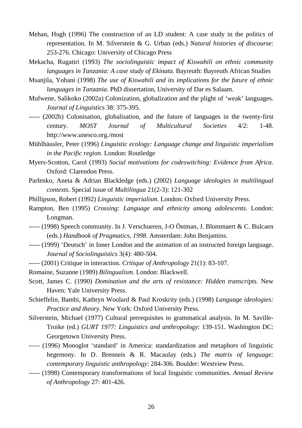- Mehan, Hugh (1996) The construction of an LD student: A case study in the politics of representation. In M. Silverstein & G. Urban (eds.) *Natural histories of discourse*: 253-276. Chicago: University of Chicago Press
- Mekacha, Rugatiri (1993) *The sociolinguistic impact of Kiswahili on ethnic community languages in Tanzania: A case study of Ekinata*. Bayreuth: Bayreuth African Studies
- Msanjila, Yohani (1998) *The use of Kiswahili and its implications for the future of ethnic languages in Tanzania*. PhD dissertation, University of Dar es Salaam.
- Mufwene, Salikoko (2002a) Colonization, globalization and the plight of 'weak' languages. *Journal of Linguistics* 38: 375-395.
- ----- (2002b) Colonisation, globalisation, and the future of languages in the twenty-first century. *MOST Journal of Multicultural Societies* 4/2: 1-48. http://www.unesco.org./most
- Mühlhäusler, Peter (1996) *Linguistic ecology: Language change and linguistic imperialism in the Pacific region*. London: Routledge
- Myers-Scotton, Carol (1993) *Social motivations for codeswitching: Evidence from Africa*. Oxford: Clarendon Press.
- Parlenko, Aneta & Adrian Blackledge (eds.) (2002) *Language ideologies in multilingual contexts*. Special issue of *Multilingua* 21(2-3): 121-302
- Phillipson, Robert (1992) *Linguistic imperialism*. London: Oxford University Press.
- Rampton, Ben (1995) *Crossing: Language and ethnicity among adolescents*. London: Longman.
- ----- (1998) Speech community. In J. Verschueren, J-O Östman, J. Blommaert & C. Bulcaen (eds.) *Handbook of Pragmatics, 1998*. Amsterdam: John Benjamins.
- ----- (1999) 'Deutsch' in Inner London and the animation of an instructed foreign language. *Journal of Sociolinguistics* 3(4): 480-504.
- ----- (2001) Critique in interaction. *Critique of Anthropology* 21(1): 83-107.
- Romaine, Suzanne (1989) *Bilingualism*. London: Blackwell.
- Scott, James C. (1990) *Domination and the arts of resistance: Hidden transcripts*. New Haven: Yale University Press.
- Schieffelin, Bambi, Kathryn Woolard & Paul Kroskrity (eds.) (1998) *Language ideologies: Practice and theory*. New York: Oxford University Press.
- Silverstein, Michael (1977) Cultural prerequisites to grammatical analysis. In M. Saville-Troike (ed.) *GURT 1977: Linguistics and anthropology*: 139-151. Washington DC: Georgetown University Press.
- ----- (1996) Monoglot 'standard' in America: standardization and metaphors of linguistic hegemony. In D. Brenneis & R. Macaulay (eds.) *The matrix of language: contemporary linguistic anthropology*: 284-306. Boulder: Westview Press.
- ----- (1998) Contemporary transformations of local linguistic communities. *Annual Review of Anthropology* 27: 401-426.